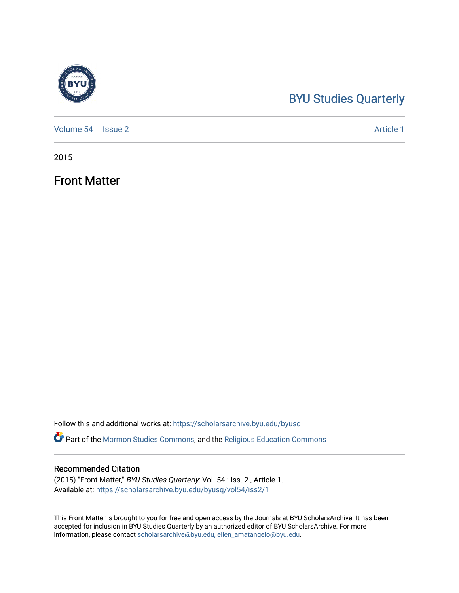# [BYU Studies Quarterly](https://scholarsarchive.byu.edu/byusq)

[Volume 54](https://scholarsarchive.byu.edu/byusq/vol54) | [Issue 2](https://scholarsarchive.byu.edu/byusq/vol54/iss2) Article 1

2015

Front Matter

Follow this and additional works at: [https://scholarsarchive.byu.edu/byusq](https://scholarsarchive.byu.edu/byusq?utm_source=scholarsarchive.byu.edu%2Fbyusq%2Fvol54%2Fiss2%2F1&utm_medium=PDF&utm_campaign=PDFCoverPages) 

Part of the [Mormon Studies Commons](http://network.bepress.com/hgg/discipline/1360?utm_source=scholarsarchive.byu.edu%2Fbyusq%2Fvol54%2Fiss2%2F1&utm_medium=PDF&utm_campaign=PDFCoverPages), and the [Religious Education Commons](http://network.bepress.com/hgg/discipline/1414?utm_source=scholarsarchive.byu.edu%2Fbyusq%2Fvol54%2Fiss2%2F1&utm_medium=PDF&utm_campaign=PDFCoverPages) 

### Recommended Citation

(2015) "Front Matter," BYU Studies Quarterly: Vol. 54 : Iss. 2 , Article 1. Available at: [https://scholarsarchive.byu.edu/byusq/vol54/iss2/1](https://scholarsarchive.byu.edu/byusq/vol54/iss2/1?utm_source=scholarsarchive.byu.edu%2Fbyusq%2Fvol54%2Fiss2%2F1&utm_medium=PDF&utm_campaign=PDFCoverPages)

This Front Matter is brought to you for free and open access by the Journals at BYU ScholarsArchive. It has been accepted for inclusion in BYU Studies Quarterly by an authorized editor of BYU ScholarsArchive. For more information, please contact [scholarsarchive@byu.edu, ellen\\_amatangelo@byu.edu.](mailto:scholarsarchive@byu.edu,%20ellen_amatangelo@byu.edu)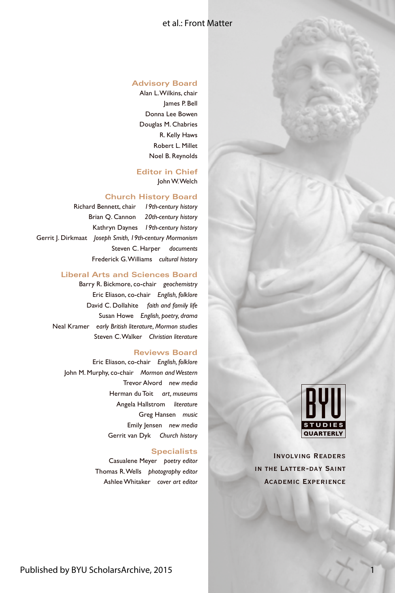### et al.: Front Matter

#### **Advisory Board**

Alan L. Wilkins, chair James P. Bell Donna Lee Bowen Douglas M. Chabries R. Kelly Haws Robert L. Millet Noel B. Reynolds

#### **Editor in Chief** John W. Welch

#### **Church History Board**

Richard Bennett, chair *19th-century history* Brian Q. Cannon *20th-century history* Kathryn Daynes *19th-century history* Gerrit J. Dirkmaat *Joseph Smith, 19th-century Mormonism* Steven C. Harper *documents* Frederick G. Williams *cultural history*

#### **Liberal Arts and Sciences Board**

Barry R. Bickmore, co-chair *geochemistry* Eric Eliason, co-chair *English, folklore* David C. Dollahite *faith and family life* Susan Howe *English, poetry, drama* Neal Kramer *early British literature, Mormon studies* Steven C. Walker *Christian literature*

#### **Reviews Board**

Eric Eliason, co-chair *English, folklore* John M. Murphy, co-chair *Mormon and Western* Trevor Alvord *new media* Herman du Toit *art, museums* Angela Hallstrom *literature* Greg Hansen *music* Emily Jensen *new media* Gerrit van Dyk *Church history*

#### **Specialists**

Casualene Meyer *poetry editor* Thomas R. Wells *photography editor* Ashlee Whitaker *cover art editor*



1

Involving Readers in the Latter-day Saint Academic Experience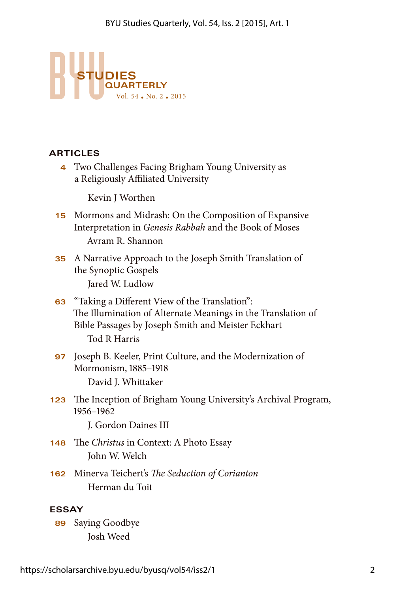

## **ARTICLES**

**4** Two Challenges Facing Brigham Young University as a Religiously Affiliated University

Kevin J Worthen

- **15** Mormons and Midrash: On the Composition of Expansive Interpretation in *Genesis Rabbah* and the Book of Moses Avram R. Shannon
- **35** A Narrative Approach to the Joseph Smith Translation of the Synoptic Gospels Jared W. Ludlow
- **63** "Taking a Different View of the Translation": The Illumination of Alternate Meanings in the Translation of Bible Passages by Joseph Smith and Meister Eckhart Tod R Harris
- **97** Joseph B. Keeler, Print Culture, and the Modernization of Mormonism, 1885–1918 David J. Whittaker
- **123** The Inception of Brigham Young University's Archival Program, 1956–1962

J. Gordon Daines III

- **148** The *Christus* in Context: A Photo Essay John W. Welch
- **162** Minerva Teichert's *The Seduction of Corianton* Herman du Toit

## **ESSAY**

**89** Saying Goodbye Josh Weed